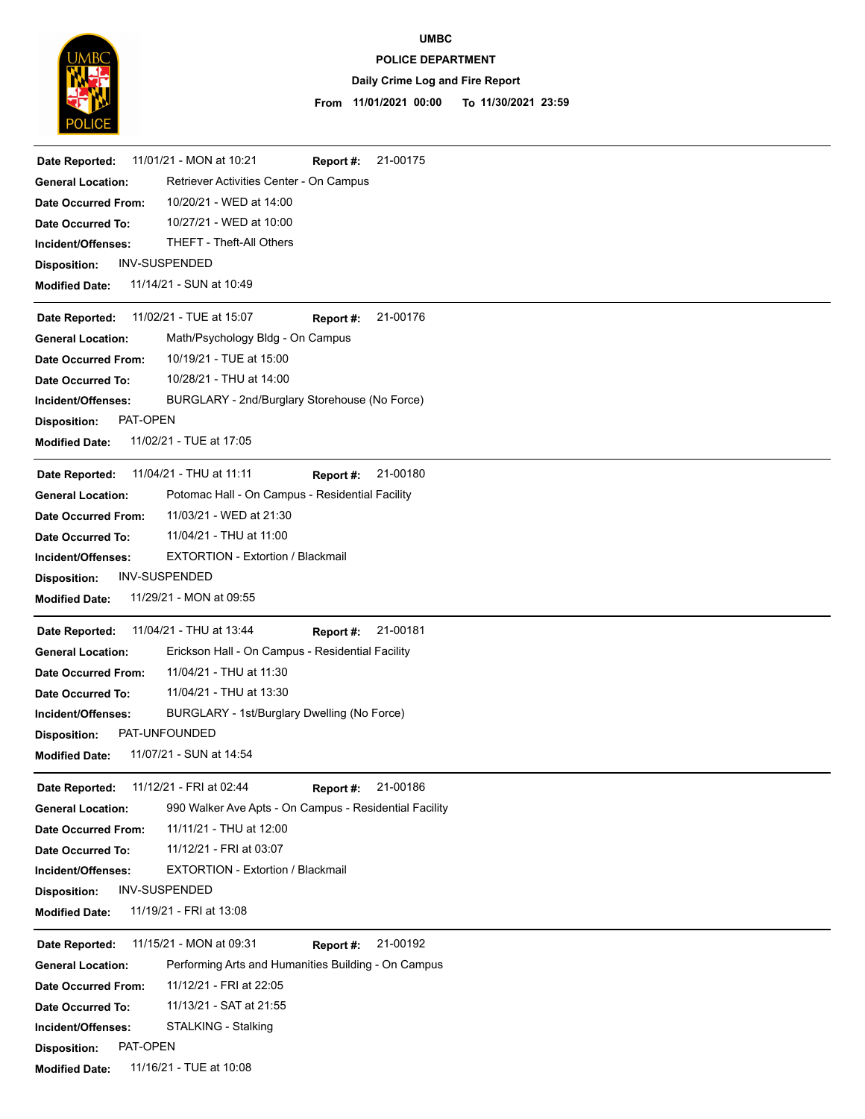

**UMBC**

## **POLICE DEPARTMENT**

## **Daily Crime Log and Fire Report**

#### **11/01/2021 00:00 To 11/30/2021 23:59 From**

| 11/01/21 - MON at 10:21<br>21-00175<br>Date Reported:<br>Report #:                 |
|------------------------------------------------------------------------------------|
| Retriever Activities Center - On Campus<br><b>General Location:</b>                |
| 10/20/21 - WED at 14:00<br><b>Date Occurred From:</b>                              |
| 10/27/21 - WED at 10:00<br>Date Occurred To:                                       |
| <b>THEFT - Theft-All Others</b><br>Incident/Offenses:                              |
| INV-SUSPENDED<br><b>Disposition:</b>                                               |
| 11/14/21 - SUN at 10:49<br><b>Modified Date:</b>                                   |
| 11/02/21 - TUE at 15:07<br>21-00176<br>Report #:<br>Date Reported:                 |
| Math/Psychology Bldg - On Campus<br><b>General Location:</b>                       |
| 10/19/21 - TUE at 15:00<br><b>Date Occurred From:</b>                              |
| 10/28/21 - THU at 14:00<br>Date Occurred To:                                       |
| BURGLARY - 2nd/Burglary Storehouse (No Force)<br>Incident/Offenses:                |
| PAT-OPEN<br><b>Disposition:</b>                                                    |
| 11/02/21 - TUE at 17:05<br><b>Modified Date:</b>                                   |
| 11/04/21 - THU at 11:11<br>21-00180<br>Date Reported:<br>Report #:                 |
| Potomac Hall - On Campus - Residential Facility<br><b>General Location:</b>        |
| 11/03/21 - WED at 21:30<br><b>Date Occurred From:</b>                              |
| 11/04/21 - THU at 11:00<br>Date Occurred To:                                       |
| <b>EXTORTION - Extortion / Blackmail</b><br>Incident/Offenses:                     |
| <b>INV-SUSPENDED</b><br><b>Disposition:</b>                                        |
| 11/29/21 - MON at 09:55<br><b>Modified Date:</b>                                   |
| 11/04/21 - THU at 13:44<br>21-00181<br>Date Reported:<br>Report #:                 |
| Erickson Hall - On Campus - Residential Facility<br><b>General Location:</b>       |
| 11/04/21 - THU at 11:30<br><b>Date Occurred From:</b>                              |
| 11/04/21 - THU at 13:30<br>Date Occurred To:                                       |
| BURGLARY - 1st/Burglary Dwelling (No Force)<br>Incident/Offenses:                  |
| PAT-UNFOUNDED<br><b>Disposition:</b>                                               |
| 11/07/21 - SUN at 14:54<br><b>Modified Date:</b>                                   |
| 11/12/21 - FRI at 02:44<br>21-00186<br>Date Reported:<br>Report #:                 |
| 990 Walker Ave Apts - On Campus - Residential Facility<br><b>General Location:</b> |
| 11/11/21 - THU at 12:00<br><b>Date Occurred From:</b>                              |
| 11/12/21 - FRI at 03:07<br>Date Occurred To:                                       |
| EXTORTION - Extortion / Blackmail<br>Incident/Offenses:                            |
| INV-SUSPENDED<br><b>Disposition:</b>                                               |
| 11/19/21 - FRI at 13:08<br><b>Modified Date:</b>                                   |
| 11/15/21 - MON at 09:31<br>21-00192<br>Date Reported:<br>Report #:                 |
| Performing Arts and Humanities Building - On Campus<br><b>General Location:</b>    |
| 11/12/21 - FRI at 22:05<br><b>Date Occurred From:</b>                              |
| 11/13/21 - SAT at 21:55<br>Date Occurred To:                                       |
| STALKING - Stalking<br>Incident/Offenses:                                          |
| PAT-OPEN<br><b>Disposition:</b>                                                    |
| 11/16/21 - TUE at 10:08<br><b>Modified Date:</b>                                   |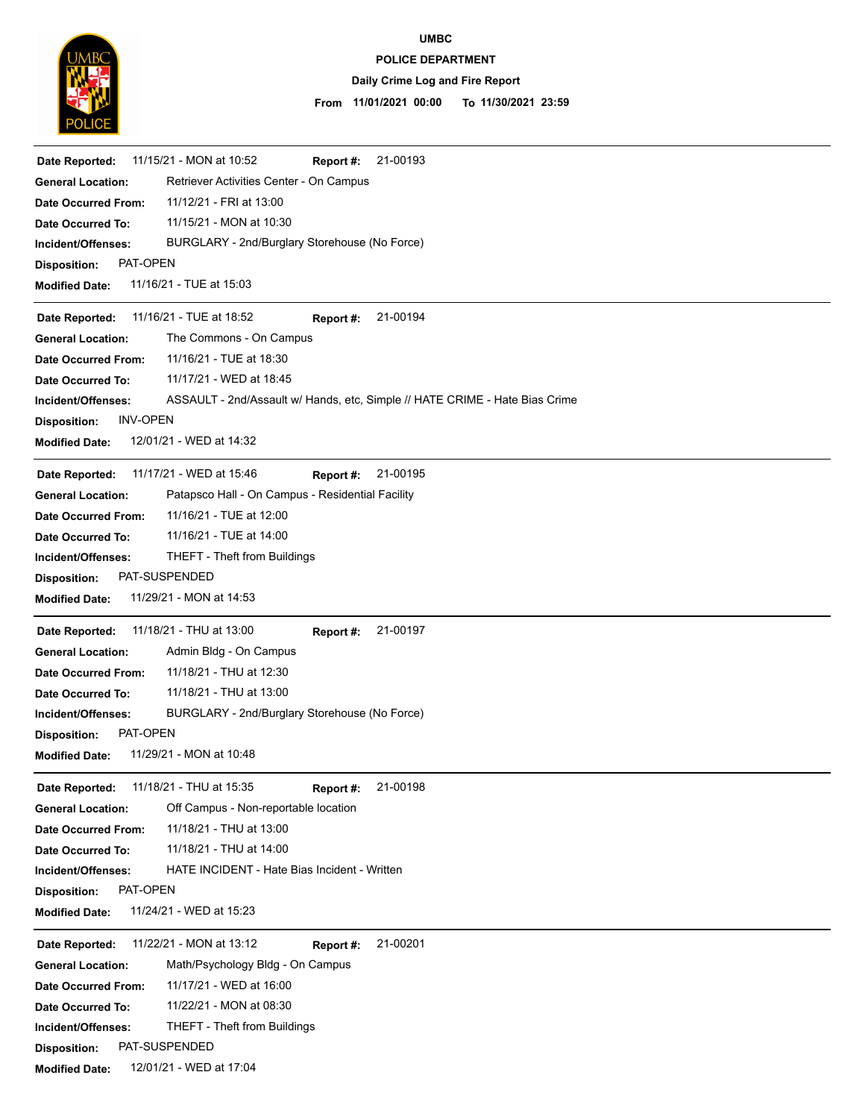

# **POLICE DEPARTMENT UMBC**

# **Daily Crime Log and Fire Report**

### **11/01/2021 00:00 To 11/30/2021 23:59 From**

| 21-00193<br>11/15/21 - MON at 10:52<br>Date Reported:<br>Report #:                                |
|---------------------------------------------------------------------------------------------------|
| Retriever Activities Center - On Campus<br><b>General Location:</b>                               |
| 11/12/21 - FRI at 13:00<br>Date Occurred From:                                                    |
| 11/15/21 - MON at 10:30<br>Date Occurred To:                                                      |
| BURGLARY - 2nd/Burglary Storehouse (No Force)<br>Incident/Offenses:                               |
| PAT-OPEN<br><b>Disposition:</b>                                                                   |
| 11/16/21 - TUE at 15:03<br><b>Modified Date:</b>                                                  |
| 11/16/21 - TUE at 18:52<br>21-00194<br>Date Reported:<br>Report #:                                |
| The Commons - On Campus<br><b>General Location:</b>                                               |
| 11/16/21 - TUE at 18:30<br>Date Occurred From:                                                    |
| 11/17/21 - WED at 18:45<br>Date Occurred To:                                                      |
| ASSAULT - 2nd/Assault w/ Hands, etc, Simple // HATE CRIME - Hate Bias Crime<br>Incident/Offenses: |
| <b>INV-OPEN</b><br><b>Disposition:</b>                                                            |
| 12/01/21 - WED at 14:32<br><b>Modified Date:</b>                                                  |
| 11/17/21 - WED at 15:46<br>21-00195<br>Date Reported:<br>Report #:                                |
| Patapsco Hall - On Campus - Residential Facility<br><b>General Location:</b>                      |
| 11/16/21 - TUE at 12:00<br><b>Date Occurred From:</b>                                             |
| 11/16/21 - TUE at 14:00<br>Date Occurred To:                                                      |
| THEFT - Theft from Buildings<br>Incident/Offenses:                                                |
| PAT-SUSPENDED<br><b>Disposition:</b>                                                              |
| 11/29/21 - MON at 14:53<br><b>Modified Date:</b>                                                  |
| 11/18/21 - THU at 13:00<br>21-00197<br>Date Reported:<br>Report #:                                |
| Admin Bldg - On Campus<br><b>General Location:</b>                                                |
| 11/18/21 - THU at 12:30<br><b>Date Occurred From:</b>                                             |
| 11/18/21 - THU at 13:00<br><b>Date Occurred To:</b>                                               |
| BURGLARY - 2nd/Burglary Storehouse (No Force)<br>Incident/Offenses:                               |
| PAT-OPEN<br><b>Disposition:</b>                                                                   |
| 11/29/21 - MON at 10:48<br><b>Modified Date:</b>                                                  |
| 11/18/21 - THU at 15:35<br>21-00198<br>Date Reported:<br>Report #:                                |
| Off Campus - Non-reportable location<br><b>General Location:</b>                                  |
| 11/18/21 - THU at 13:00<br><b>Date Occurred From:</b>                                             |
| 11/18/21 - THU at 14:00<br><b>Date Occurred To:</b>                                               |
| HATE INCIDENT - Hate Bias Incident - Written<br>Incident/Offenses:                                |
| PAT-OPEN<br><b>Disposition:</b>                                                                   |
| 11/24/21 - WED at 15:23<br><b>Modified Date:</b>                                                  |
| 11/22/21 - MON at 13:12<br>21-00201<br>Date Reported:<br>Report #:                                |
| Math/Psychology Bldg - On Campus<br><b>General Location:</b>                                      |
| 11/17/21 - WED at 16:00<br><b>Date Occurred From:</b>                                             |
| 11/22/21 - MON at 08:30<br>Date Occurred To:                                                      |
| <b>THEFT - Theft from Buildings</b><br>Incident/Offenses:                                         |
| PAT-SUSPENDED<br><b>Disposition:</b>                                                              |
| 12/01/21 - WED at 17:04<br><b>Modified Date:</b>                                                  |